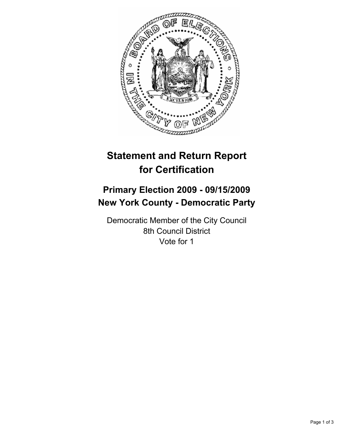

# **Statement and Return Report for Certification**

## **Primary Election 2009 - 09/15/2009 New York County - Democratic Party**

Democratic Member of the City Council 8th Council District Vote for 1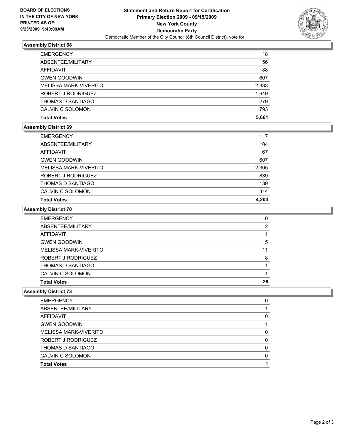

## **Assembly District 68**

| <b>EMERGENCY</b>      | 18    |
|-----------------------|-------|
| ABSENTEE/MILITARY     | 156   |
| AFFIDAVIT             | 88    |
| <b>GWEN GOODWIN</b>   | 607   |
| MELISSA MARK-VIVERITO | 2,333 |
| ROBERT J RODRIGUEZ    | 1,649 |
| THOMAS D SANTIAGO     | 279   |
| CALVIN C SOLOMON      | 793   |
| <b>Total Votes</b>    | 5,661 |

#### **Assembly District 69**

| <b>Total Votes</b>    | 4.204 |
|-----------------------|-------|
| CALVIN C SOLOMON      | 314   |
| THOMAS D SANTIAGO     | 139   |
| ROBERT J RODRIGUEZ    | 839   |
| MELISSA MARK-VIVERITO | 2,305 |
| <b>GWEN GOODWIN</b>   | 607   |
| AFFIDAVIT             | 67    |
| ABSENTEE/MILITARY     | 104   |
| <b>EMERGENCY</b>      | 117   |

#### **Assembly District 70**

| <b>EMERGENCY</b>      | 0  |
|-----------------------|----|
| ABSENTEE/MILITARY     | 2  |
| AFFIDAVIT             |    |
| <b>GWEN GOODWIN</b>   | 5  |
| MELISSA MARK-VIVERITO | 11 |
| ROBERT J RODRIGUEZ    | 8  |
| THOMAS D SANTIAGO     |    |
| CALVIN C SOLOMON      |    |
| <b>Total Votes</b>    | 26 |

## **Assembly District 73**

| ROBERT J RODRIGUEZ    | 0 |
|-----------------------|---|
|                       |   |
| MELISSA MARK-VIVERITO | 0 |
| <b>GWEN GOODWIN</b>   |   |
| AFFIDAVIT             | 0 |
| ABSENTEE/MILITARY     |   |
| <b>EMERGENCY</b>      | 0 |